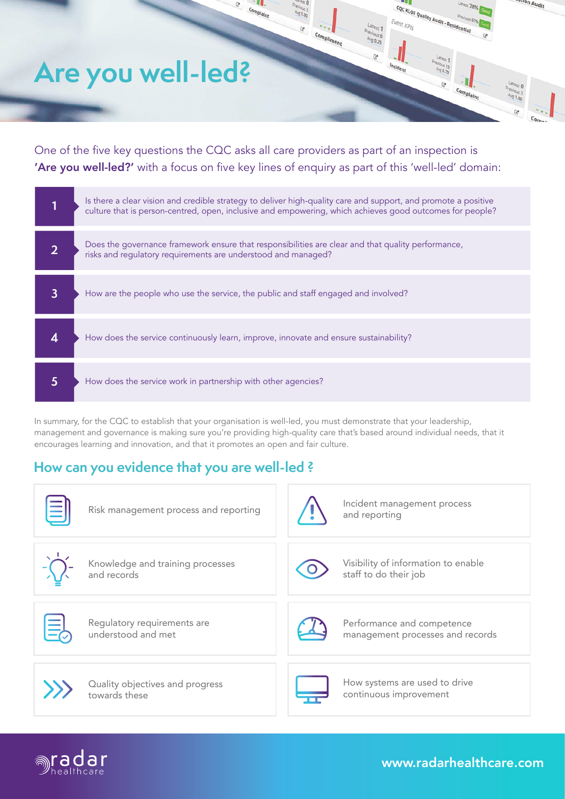#### COCKLOE Quality Audit - Residential Event KPIs  $\mathbf{c}$ Compliment  $302$ **Are you well-led?** hciden **Latest 0**<br>Fevious 3<br>Avg 1.00 Complaint

\$1.00

One of the five key questions the CQC asks all care providers as part of an inspection is 'Are you well-led?' with a focus on five key lines of enquiry as part of this 'well-led' domain:

Complaint

|   | Is there a clear vision and credible strategy to deliver high-quality care and support, and promote a positive<br>culture that is person-centred, open, inclusive and empowering, which achieves good outcomes for people? |
|---|----------------------------------------------------------------------------------------------------------------------------------------------------------------------------------------------------------------------------|
|   | Does the governance framework ensure that responsibilities are clear and that quality performance,<br>risks and regulatory requirements are understood and managed?                                                        |
| 3 | How are the people who use the service, the public and staff engaged and involved?                                                                                                                                         |
|   | How does the service continuously learn, improve, innovate and ensure sustainability?                                                                                                                                      |
| 5 | How does the service work in partnership with other agencies?                                                                                                                                                              |

In summary, for the CQC to establish that your organisation is well-led, you must demonstrate that your leadership, management and governance is making sure you're providing high-quality care that's based around individual needs, that it encourages learning and innovation, and that it promotes an open and fair culture.

# **How can you evidence that you are well-led ?**

| Risk management process and reporting             |  | Incident management process<br>and reporting                   |
|---------------------------------------------------|--|----------------------------------------------------------------|
| Knowledge and training processes<br>and records   |  | Visibility of information to enable<br>staff to do their job   |
| Regulatory requirements are<br>understood and met |  | Performance and competence<br>management processes and records |
| Quality objectives and progress<br>towards these  |  | How systems are used to drive<br>continuous improvement        |



[www.radarhealthcare.com](https://radarhealthcare.com/)

uon Audit